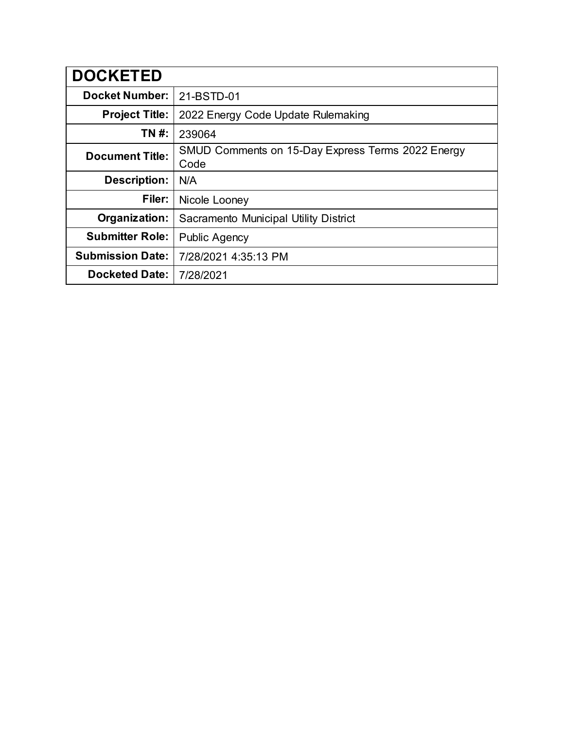| <b>DOCKETED</b>         |                                                           |
|-------------------------|-----------------------------------------------------------|
| <b>Docket Number:</b>   | 21-BSTD-01                                                |
| <b>Project Title:</b>   | 2022 Energy Code Update Rulemaking                        |
| TN #:                   | 239064                                                    |
| <b>Document Title:</b>  | SMUD Comments on 15-Day Express Terms 2022 Energy<br>Code |
| <b>Description:</b>     | N/A                                                       |
| Filer:                  | Nicole Looney                                             |
| Organization:           | Sacramento Municipal Utility District                     |
| <b>Submitter Role:</b>  | <b>Public Agency</b>                                      |
| <b>Submission Date:</b> | 7/28/2021 4:35:13 PM                                      |
| <b>Docketed Date:</b>   | 7/28/2021                                                 |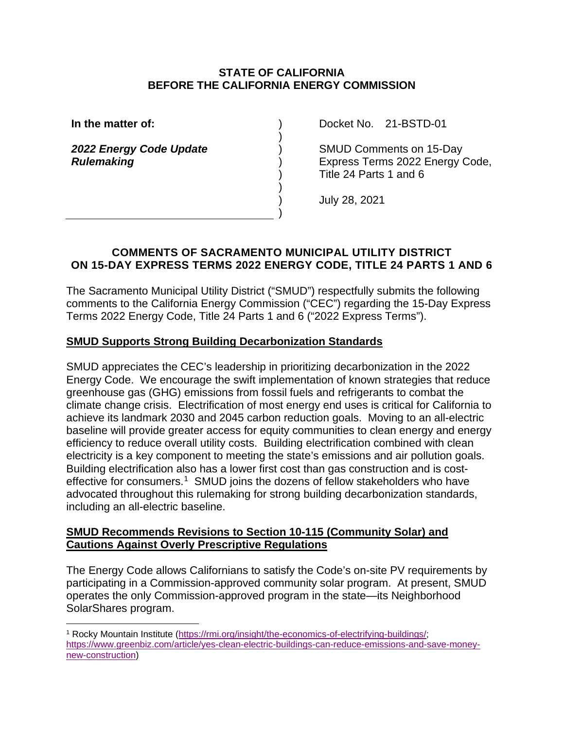#### **STATE OF CALIFORNIA BEFORE THE CALIFORNIA ENERGY COMMISSION**

) ) ) ) ) ) ) )

**In the matter of:**

*2022 Energy Code Update Rulemaking*

Docket No. 21-BSTD-01

SMUD Comments on 15-Day Express Terms 2022 Energy Code, Title 24 Parts 1 and 6

July 28, 2021

## **COMMENTS OF SACRAMENTO MUNICIPAL UTILITY DISTRICT ON 15-DAY EXPRESS TERMS 2022 ENERGY CODE, TITLE 24 PARTS 1 AND 6**

The Sacramento Municipal Utility District ("SMUD") respectfully submits the following comments to the California Energy Commission ("CEC") regarding the 15-Day Express Terms 2022 Energy Code, Title 24 Parts 1 and 6 ("2022 Express Terms").

## **SMUD Supports Strong Building Decarbonization Standards**

SMUD appreciates the CEC's leadership in prioritizing decarbonization in the 2022 Energy Code. We encourage the swift implementation of known strategies that reduce greenhouse gas (GHG) emissions from fossil fuels and refrigerants to combat the climate change crisis. Electrification of most energy end uses is critical for California to achieve its landmark 2030 and 2045 carbon reduction goals. Moving to an all-electric baseline will provide greater access for equity communities to clean energy and energy efficiency to reduce overall utility costs. Building electrification combined with clean electricity is a key component to meeting the state's emissions and air pollution goals. Building electrification also has a lower first cost than gas construction and is cost-effective for consumers.<sup>[1](#page-1-0)</sup> SMUD joins the dozens of fellow stakeholders who have advocated throughout this rulemaking for strong building decarbonization standards, including an all-electric baseline.

#### **SMUD Recommends Revisions to Section 10-115 (Community Solar) and Cautions Against Overly Prescriptive Regulations**

The Energy Code allows Californians to satisfy the Code's on-site PV requirements by participating in a Commission-approved community solar program. At present, SMUD operates the only Commission-approved program in the state—its Neighborhood SolarShares program.

<span id="page-1-0"></span><sup>1</sup> Rocky Mountain Institute [\(https://rmi.org/insight/the-economics-of-electrifying-buildings/;](https://rmi.org/insight/the-economics-of-electrifying-buildings/) [https://www.greenbiz.com/article/yes-clean-electric-buildings-can-reduce-emissions-and-save-money](https://www.greenbiz.com/article/yes-clean-electric-buildings-can-reduce-emissions-and-save-money-new-construction)[new-construction\)](https://www.greenbiz.com/article/yes-clean-electric-buildings-can-reduce-emissions-and-save-money-new-construction)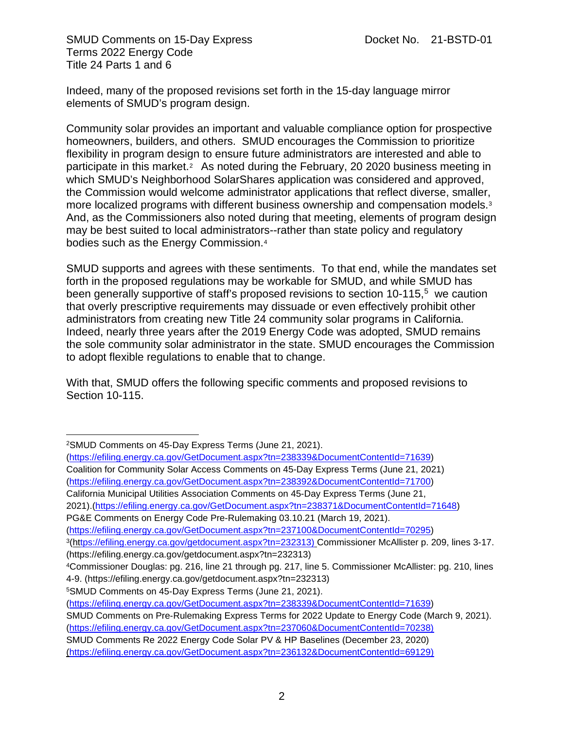SMUD Comments on 15-Day Express Docket No. 21-BSTD-01 Terms 2022 Energy Code Title 24 Parts 1 and 6

Indeed, many of the proposed revisions set forth in the 15-day language mirror elements of SMUD's program design.

Community solar provides an important and valuable compliance option for prospective homeowners, builders, and others. SMUD encourages the Commission to prioritize flexibility in program design to ensure future administrators are interested and able to participate in this market.<sup>[2](#page-2-0)</sup> As noted during the February, 20 2020 business meeting in which SMUD's Neighborhood SolarShares application was considered and approved, the Commission would welcome administrator applications that reflect diverse, smaller, more localized programs with different business ownership and compensation models.[3](#page-2-1) And, as the Commissioners also noted during that meeting, elements of program design may be best suited to local administrators--rather than state policy and regulatory bodies such as the Energy Commission.[4](#page-2-2)

SMUD supports and agrees with these sentiments. To that end, while the mandates set forth in the proposed regulations may be workable for SMUD, and while SMUD has been generally supportive of staff's proposed revisions to section 10-11[5](#page-2-3),<sup>5</sup> we caution that overly prescriptive requirements may dissuade or even effectively prohibit other administrators from creating new Title 24 community solar programs in California. Indeed, nearly three years after the 2019 Energy Code was adopted, SMUD remains the sole community solar administrator in the state. SMUD encourages the Commission to adopt flexible regulations to enable that to change.

With that, SMUD offers the following specific comments and proposed revisions to Section 10-115.

[\(https://efiling.energy.ca.gov/GetDocument.aspx?tn=237100&DocumentContentId=70295\)](https://efiling.energy.ca.gov/GetDocument.aspx?tn=237100&DocumentContentId=70295)

<span id="page-2-1"></span>3(h[ttps://efiling.energy.ca.gov/getdocument.aspx?tn=232313\)](https://efiling.energy.ca.gov/getdocument.aspx?tn=232313) Commissioner McAllister p. 209, lines 3-17. [\(https://efiling.energy.ca.gov/getdocument.aspx?tn=232313\)](https://efiling.energy.ca.gov/getdocument.aspx?tn=232313)

<span id="page-2-0"></span>[<sup>2</sup>SMUD Comments on 45-Day Express Terms](https://efiling.energy.ca.gov/GetDocument.aspx?tn=238339&DocumentContentId=71639) (June 21, 2021).

[<sup>\(</sup>https://efiling.energy.ca.gov/GetDocument.aspx?tn=238339&DocumentContentId=71639\)](https://efiling.energy.ca.gov/GetDocument.aspx?tn=238339&DocumentContentId=71639) [Coalition for Community Solar Access Comments on 45-Day Express Terms \(](https://efiling.energy.ca.gov/GetDocument.aspx?tn=238392&DocumentContentId=71700)June 21, 2021) [\(https://efiling.energy.ca.gov/GetDocument.aspx?tn=238392&DocumentContentId=71700\)](https://efiling.energy.ca.gov/GetDocument.aspx?tn=238392&DocumentContentId=71700)

[California Municipal Utilities Association Comments on 45-Day Express Terms \(](https://efiling.energy.ca.gov/GetDocument.aspx?tn=238371&DocumentContentId=71648)June 21,

<sup>2021).</sup>[\(https://efiling.energy.ca.gov/GetDocument.aspx?tn=238371&DocumentContentId=71648\)](https://efiling.energy.ca.gov/GetDocument.aspx?tn=238371&DocumentContentId=71648)

[PG&E Comments on Energy Code Pre-Rulemaking 03.10.21](https://urldefense.proofpoint.com/v2/url?u=https-3A__efiling.energy.ca.gov_GetDocument.aspx-3Ftn-3D237100-26DocumentContentId-3D70295&d=DwMGaQ&c=Ko5vnWWlemq1VcwTIpbf0g&r=L7oTx281jXz-eC1sD9hynlw_UyewHtiQY_0phdhiza0&m=wyV39MkqhBhmnB2rIFPl1VuYLujM7eYnE-rkklgvhR0&s=VsCqLehPkEuZB2e8D-oSuFrUCfBvKHEvcxrgtcGbVQ0&e=) (March 19, 2021).

<span id="page-2-2"></span><sup>4</sup>Commissioner Douglas: pg. 216, line 21 through pg. 217, line 5. Commissioner McAllister: pg. 210, lines 4-9. [\(https://efiling.energy.ca.gov/getdocument.aspx?tn=232313\)](https://efiling.energy.ca.gov/getdocument.aspx?tn=232313)

<span id="page-2-3"></span><sup>5</sup>[SMUD Comments on 45-Day Express Terms](https://efiling.energy.ca.gov/GetDocument.aspx?tn=238339&DocumentContentId=71639) (June 21, 2021).

[<sup>\(</sup>https://efiling.energy.ca.gov/GetDocument.aspx?tn=238339&DocumentContentId=71639\)](https://efiling.energy.ca.gov/GetDocument.aspx?tn=238339&DocumentContentId=71639)

SMUD Comments on Pre-Rulemaking Express Terms for 2022 Update to Energy Code (March 9, 2021).

[<sup>\(</sup>https://efiling.energy.ca.gov/GetDocument.aspx?tn=237060&DocumentContentId=70238\)](https://efiling.energy.ca.gov/GetDocument.aspx?tn=237060&DocumentContentId=70238)

SMUD Comments Re 2022 Energy Code Solar PV & HP Baselines (December 23, 2020) [\(https://efiling.energy.ca.gov/GetDocument.aspx?tn=236132&DocumentContentId=69129\)](https://efiling.energy.ca.gov/GetDocument.aspx?tn=236132&DocumentContentId=69129)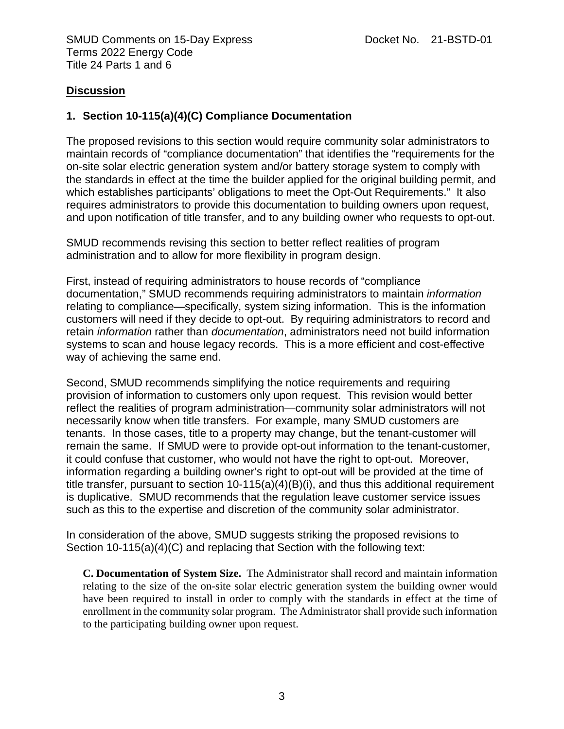#### **Discussion**

#### **1. Section 10-115(a)(4)(C) Compliance Documentation**

The proposed revisions to this section would require community solar administrators to maintain records of "compliance documentation" that identifies the "requirements for the on-site solar electric generation system and/or battery storage system to comply with the standards in effect at the time the builder applied for the original building permit, and which establishes participants' obligations to meet the Opt-Out Requirements." It also requires administrators to provide this documentation to building owners upon request, and upon notification of title transfer, and to any building owner who requests to opt-out.

SMUD recommends revising this section to better reflect realities of program administration and to allow for more flexibility in program design.

First, instead of requiring administrators to house records of "compliance documentation," SMUD recommends requiring administrators to maintain *information* relating to compliance—specifically, system sizing information. This is the information customers will need if they decide to opt-out. By requiring administrators to record and retain *information* rather than *documentation*, administrators need not build information systems to scan and house legacy records. This is a more efficient and cost-effective way of achieving the same end.

Second, SMUD recommends simplifying the notice requirements and requiring provision of information to customers only upon request. This revision would better reflect the realities of program administration—community solar administrators will not necessarily know when title transfers. For example, many SMUD customers are tenants. In those cases, title to a property may change, but the tenant-customer will remain the same. If SMUD were to provide opt-out information to the tenant-customer, it could confuse that customer, who would not have the right to opt-out. Moreover, information regarding a building owner's right to opt-out will be provided at the time of title transfer, pursuant to section 10-115(a)(4)(B)(i), and thus this additional requirement is duplicative. SMUD recommends that the regulation leave customer service issues such as this to the expertise and discretion of the community solar administrator.

In consideration of the above, SMUD suggests striking the proposed revisions to Section 10-115(a)(4)(C) and replacing that Section with the following text:

**C. Documentation of System Size.** The Administrator shall record and maintain information relating to the size of the on-site solar electric generation system the building owner would have been required to install in order to comply with the standards in effect at the time of enrollment in the community solar program. The Administrator shall provide such information to the participating building owner upon request.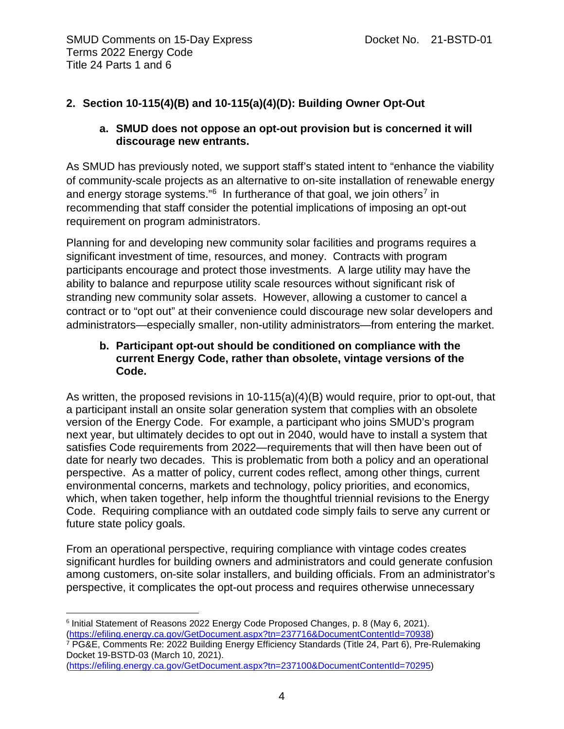# **2. Section 10-115(4)(B) and 10-115(a)(4)(D): Building Owner Opt-Out**

## **a. SMUD does not oppose an opt-out provision but is concerned it will discourage new entrants.**

As SMUD has previously noted, we support staff's stated intent to "enhance the viability of community-scale projects as an alternative to on-site installation of renewable energy and energy storage systems."<sup>[6](#page-4-0)</sup> In furtherance of that goal, we join others<sup>[7](#page-4-1)</sup> in recommending that staff consider the potential implications of imposing an opt-out requirement on program administrators.

Planning for and developing new community solar facilities and programs requires a significant investment of time, resources, and money. Contracts with program participants encourage and protect those investments. A large utility may have the ability to balance and repurpose utility scale resources without significant risk of stranding new community solar assets. However, allowing a customer to cancel a contract or to "opt out" at their convenience could discourage new solar developers and administrators—especially smaller, non-utility administrators—from entering the market.

#### **b. Participant opt-out should be conditioned on compliance with the current Energy Code, rather than obsolete, vintage versions of the Code.**

As written, the proposed revisions in  $10-115(a)(4)(B)$  would require, prior to opt-out, that a participant install an onsite solar generation system that complies with an obsolete version of the Energy Code. For example, a participant who joins SMUD's program next year, but ultimately decides to opt out in 2040, would have to install a system that satisfies Code requirements from 2022—requirements that will then have been out of date for nearly two decades. This is problematic from both a policy and an operational perspective. As a matter of policy, current codes reflect, among other things, current environmental concerns, markets and technology, policy priorities, and economics, which, when taken together, help inform the thoughtful triennial revisions to the Energy Code. Requiring compliance with an outdated code simply fails to serve any current or future state policy goals.

From an operational perspective, requiring compliance with vintage codes creates significant hurdles for building owners and administrators and could generate confusion among customers, on-site solar installers, and building officials. From an administrator's perspective, it complicates the opt-out process and requires otherwise unnecessary

<span id="page-4-1"></span><sup>7</sup> PG&E, Comments Re: 2022 Building Energy Efficiency Standards (Title 24, Part 6), Pre-Rulemaking Docket 19-BSTD-03 (March 10, 2021).

<span id="page-4-0"></span><sup>6</sup> Initial Statement of Reasons 2022 Energy Code Proposed Changes, p. 8 (May 6, 2021). [\(https://efiling.energy.ca.gov/GetDocument.aspx?tn=237716&DocumentContentId=70938\)](https://efiling.energy.ca.gov/GetDocument.aspx?tn=237716&DocumentContentId=70938)

[<sup>\(</sup>https://efiling.energy.ca.gov/GetDocument.aspx?tn=237100&DocumentContentId=70295\)](https://efiling.energy.ca.gov/GetDocument.aspx?tn=237100&DocumentContentId=70295)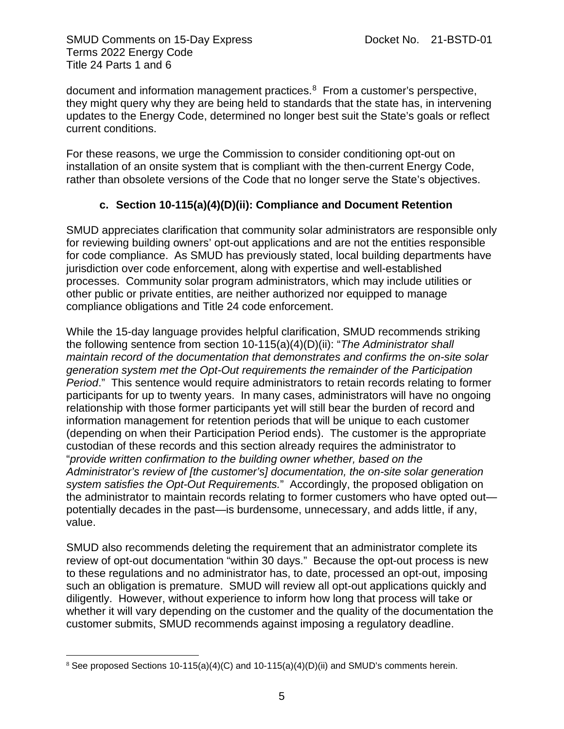SMUD Comments on 15-Day Express Docket No. 21-BSTD-01 Terms 2022 Energy Code Title 24 Parts 1 and 6

document and information management practices.[8](#page-5-0) From a customer's perspective, they might query why they are being held to standards that the state has, in intervening updates to the Energy Code, determined no longer best suit the State's goals or reflect current conditions.

For these reasons, we urge the Commission to consider conditioning opt-out on installation of an onsite system that is compliant with the then-current Energy Code, rather than obsolete versions of the Code that no longer serve the State's objectives.

## **c. Section 10-115(a)(4)(D)(ii): Compliance and Document Retention**

SMUD appreciates clarification that community solar administrators are responsible only for reviewing building owners' opt-out applications and are not the entities responsible for code compliance. As SMUD has previously stated, local building departments have jurisdiction over code enforcement, along with expertise and well-established processes. Community solar program administrators, which may include utilities or other public or private entities, are neither authorized nor equipped to manage compliance obligations and Title 24 code enforcement.

While the 15-day language provides helpful clarification, SMUD recommends striking the following sentence from section 10-115(a)(4)(D)(ii): "*The Administrator shall maintain record of the documentation that demonstrates and confirms the on-site solar generation system met the Opt-Out requirements the remainder of the Participation Period*." This sentence would require administrators to retain records relating to former participants for up to twenty years. In many cases, administrators will have no ongoing relationship with those former participants yet will still bear the burden of record and information management for retention periods that will be unique to each customer (depending on when their Participation Period ends). The customer is the appropriate custodian of these records and this section already requires the administrator to "*provide written confirmation to the building owner whether, based on the Administrator's review of [the customer's] documentation, the on-site solar generation system satisfies the Opt-Out Requirements.*" Accordingly, the proposed obligation on the administrator to maintain records relating to former customers who have opted out potentially decades in the past—is burdensome, unnecessary, and adds little, if any, value.

SMUD also recommends deleting the requirement that an administrator complete its review of opt-out documentation "within 30 days." Because the opt-out process is new to these regulations and no administrator has, to date, processed an opt-out, imposing such an obligation is premature. SMUD will review all opt-out applications quickly and diligently. However, without experience to inform how long that process will take or whether it will vary depending on the customer and the quality of the documentation the customer submits, SMUD recommends against imposing a regulatory deadline.

<span id="page-5-0"></span><sup>&</sup>lt;sup>8</sup> See proposed Sections 10-115(a)(4)(C) and 10-115(a)(4)(D)(ii) and SMUD's comments herein.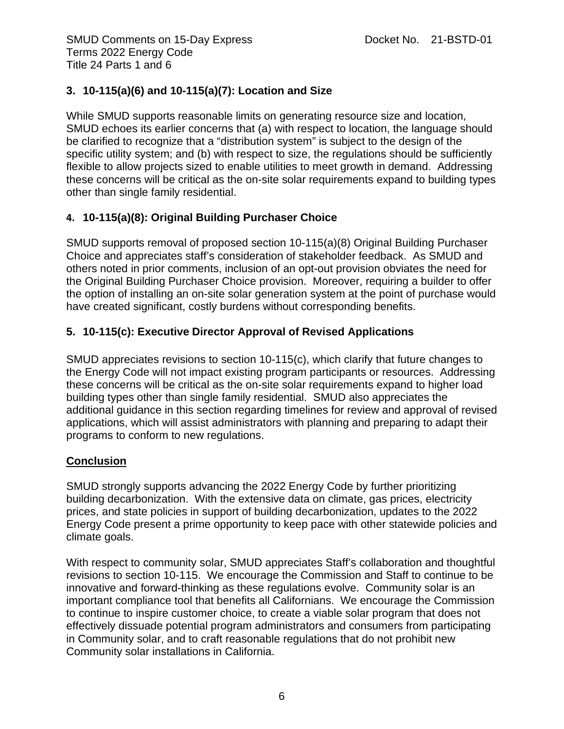# **3. 10-115(a)(6) and 10-115(a)(7): Location and Size**

While SMUD supports reasonable limits on generating resource size and location, SMUD echoes its earlier concerns that (a) with respect to location, the language should be clarified to recognize that a "distribution system" is subject to the design of the specific utility system; and (b) with respect to size, the regulations should be sufficiently flexible to allow projects sized to enable utilities to meet growth in demand. Addressing these concerns will be critical as the on-site solar requirements expand to building types other than single family residential.

## **4. 10-115(a)(8): Original Building Purchaser Choice**

SMUD supports removal of proposed section 10-115(a)(8) Original Building Purchaser Choice and appreciates staff's consideration of stakeholder feedback. As SMUD and others noted in prior comments, inclusion of an opt-out provision obviates the need for the Original Building Purchaser Choice provision. Moreover, requiring a builder to offer the option of installing an on-site solar generation system at the point of purchase would have created significant, costly burdens without corresponding benefits.

# **5. 10-115(c): Executive Director Approval of Revised Applications**

SMUD appreciates revisions to section 10-115(c), which clarify that future changes to the Energy Code will not impact existing program participants or resources. Addressing these concerns will be critical as the on-site solar requirements expand to higher load building types other than single family residential. SMUD also appreciates the additional guidance in this section regarding timelines for review and approval of revised applications, which will assist administrators with planning and preparing to adapt their programs to conform to new regulations.

## **Conclusion**

SMUD strongly supports advancing the 2022 Energy Code by further prioritizing building decarbonization. With the extensive data on climate, gas prices, electricity prices, and state policies in support of building decarbonization, updates to the 2022 Energy Code present a prime opportunity to keep pace with other statewide policies and climate goals.

With respect to community solar, SMUD appreciates Staff's collaboration and thoughtful revisions to section 10-115. We encourage the Commission and Staff to continue to be innovative and forward-thinking as these regulations evolve. Community solar is an important compliance tool that benefits all Californians. We encourage the Commission to continue to inspire customer choice, to create a viable solar program that does not effectively dissuade potential program administrators and consumers from participating in Community solar, and to craft reasonable regulations that do not prohibit new Community solar installations in California.